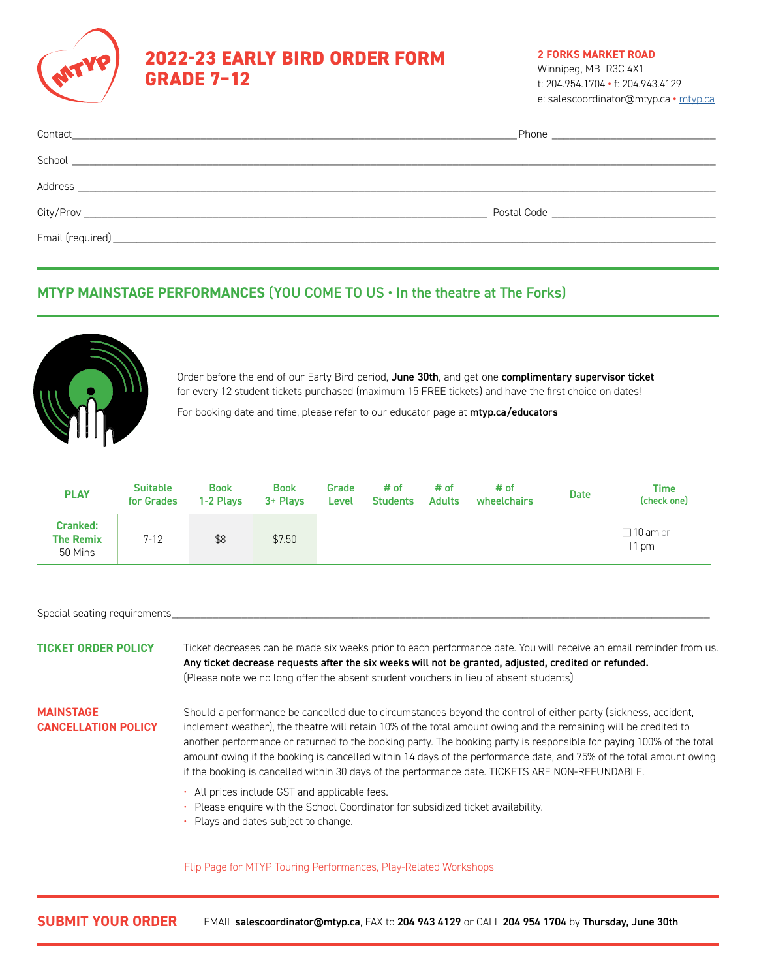

# **2022-23 EARLY BIRD ORDER FORM GRADE 7–12**

**2 FORKS MARKET ROAD**

Winnipeg, MB R3C 4X1 t: 204.954.1704 **•** f: 204.943.4129 e: salescoordinator@mtyp.ca **•** mtyp.ca

| Contact |                                 |  |
|---------|---------------------------------|--|
|         |                                 |  |
|         |                                 |  |
|         | Postal Code ___________________ |  |
|         |                                 |  |
|         |                                 |  |

### **MTYP MAINSTAGE PERFORMANCES** (YOU COME TO US • In the theatre at The Forks)



Order before the end of our Early Bird period, June 30th, and get one complimentary supervisor ticket for every 12 student tickets purchased (maximum 15 FREE tickets) and have the first choice on dates!

For booking date and time, please refer to our educator page at [mtyp.ca/educators](http://mtyp.ca/educators)

| <b>PLAY</b>                                    | <b>Suitable</b><br>for Grades | <b>Book</b><br>1-2 Plays | <b>Book</b><br>3+ Plays | Grade<br>Level | # of<br><b>Students</b> | # of<br><b>Adults</b> | # of<br>wheelchairs | <b>Date</b> | Time<br>(check one)               |
|------------------------------------------------|-------------------------------|--------------------------|-------------------------|----------------|-------------------------|-----------------------|---------------------|-------------|-----------------------------------|
| <b>Cranked:</b><br><b>The Remix</b><br>50 Mins | $7 - 12$                      | \$8                      | \$7.50                  |                |                         |                       |                     |             | $\Box$ 10 am or<br>$\square$ 1 pm |

Special seating requirements

**TICKET ORDER POLICY** Ticket decreases can be made six weeks prior to each performance date. You will receive an email reminder from us. Any ticket decrease requests after the six weeks will not be granted, adjusted, credited or refunded. (Please note we no long offer the absent student vouchers in lieu of absent students)

#### **MAINSTAGE CANCELLATION POLICY**

Should a performance be cancelled due to circumstances beyond the control of either party (sickness, accident, inclement weather), the theatre will retain 10% of the total amount owing and the remaining will be credited to another performance or returned to the booking party. The booking party is responsible for paying 100% of the total amount owing if the booking is cancelled within 14 days of the performance date, and 75% of the total amount owing if the booking is cancelled within 30 days of the performance date. TICKETS ARE NON-REFUNDABLE.

- All prices include GST and applicable fees.
- Please enquire with the School Coordinator for subsidized ticket availability.
- Plays and dates subject to change.

Flip Page for MTYP Touring Performances, Play-Related Workshops

**SUBMIT YOUR ORDER** EMAIL salescoordinator@mtyp.ca, FAX to 204 943 4129 or CALL 204 954 1704 by Thursday, June 30th